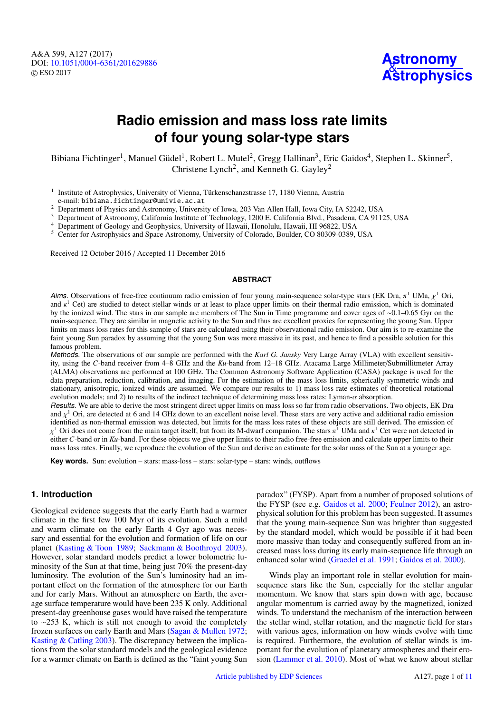A&A 599, A127 (2017) DOI: 10.1051/0004-6361/[201629886](https://doi.org/10.1051/0004-6361/201629886) c ESO 2017



# **Radio emission and mass loss rate limits of four young solar-type stars**

Bibiana Fichtinger<sup>1</sup>, Manuel Güdel<sup>1</sup>, Robert L. Mutel<sup>2</sup>, Gregg Hallinan<sup>3</sup>, Eric Gaidos<sup>4</sup>, Stephen L. Skinner<sup>5</sup>, Christene Lynch<sup>2</sup>, and Kenneth G. Gayley<sup>2</sup>

<sup>1</sup> Institute of Astrophysics, University of Vienna, Türkenschanzstrasse 17, 1180 Vienna, Austria e-mail: bibiana.fichtinger@univie.ac.at

<sup>2</sup> Department of Physics and Astronomy, University of Iowa, 203 Van Allen Hall, Iowa City, IA 52242, USA

<sup>3</sup> Department of Astronomy, California Institute of Technology, 1200 E. California Blvd., Pasadena, CA 91125, USA

<sup>4</sup> Department of Geology and Geophysics, University of Hawaii, Honolulu, Hawaii, HI 96822, USA

<sup>5</sup> Center for Astrophysics and Space Astronomy, University of Colorado, Boulder, CO 80309-0389, USA

Received 12 October 2016 / Accepted 11 December 2016

### **ABSTRACT**

*Aims.* Observations of free-free continuum radio emission of four young main-sequence solar-type stars (EK Dra,  $\pi^1$  UMa,  $\chi^1$  Ori, and  $\kappa^1$  Cet) are studied to detect stellar winds or at least to place upper limi and  $\kappa^1$  Cet) are studied to detect stellar winds or at least to place upper limits on their thermal radio emission, which is dominated<br>by the ionized wind. The stars in our sample are members of The Sun in Time progra by the ionized wind. The stars in our sample are members of The Sun in Time programme and cover ages of ∼0.1–0.65 Gyr on the main-sequence. They are similar in magnetic activity to the Sun and thus are excellent proxies for representing the young Sun. Upper limits on mass loss rates for this sample of stars are calculated using their observational radio emission. Our aim is to re-examine the faint young Sun paradox by assuming that the young Sun was more massive in its past, and hence to find a possible solution for this famous problem.

Methods. The observations of our sample are performed with the *Karl G. Jansky* Very Large Array (VLA) with excellent sensitivity, using the *C*-band receiver from 4–8 GHz and the *Ku*-band from 12–18 GHz. Atacama Large Millimeter/Submillitmeter Array (ALMA) observations are performed at 100 GHz. The Common Astronomy Software Application (CASA) package is used for the data preparation, reduction, calibration, and imaging. For the estimation of the mass loss limits, spherically symmetric winds and stationary, anisotropic, ionized winds are assumed. We compare our results to 1) mass loss rate estimates of theoretical rotational evolution models; and 2) to results of the indirect technique of determining mass loss rates: Lyman- $\alpha$  absorption.

Results. We are able to derive the most stringent direct upper limits on mass loss so far from radio observations. Two objects, EK Dra and  $\chi^1$  Ori, are detected at 6 and 14 GHz down to an excellent noise level. These stars are very active and additional radio emission<br>identified as non-thermal emission was detected but limits for the mass loss rates o identified as non-thermal emission was detected, but limits for the mass loss rates of these objects are still derived. The emission of either *C*-band or in *Ku*-band. For these objects we give upper limits to their radio free-free emission and calculate upper limits to their <sup>1</sup> Ori does not come from the main target itself, but from its M-dwarf companion. The stars  $\pi^1$  UMa and  $\kappa^1$  Cet were not detected in their table in the set of the set of the set of the set of the set of the set of mass loss rates. Finally, we reproduce the evolution of the Sun and derive an estimate for the solar mass of the Sun at a younger age.

**Key words.** Sun: evolution – stars: mass-loss – stars: solar-type – stars: winds, outflows

# **1. Introduction**

Geological evidence suggests that the early Earth had a warmer climate in the first few 100 Myr of its evolution. Such a mild and warm climate on the early Earth 4 Gyr ago was necessary and essential for the evolution and formation of life on our planet [\(Kasting & Toon](#page-10-0) [1989;](#page-10-0) [Sackmann & Boothroyd](#page-10-1) [2003\)](#page-10-1). However, solar standard models predict a lower bolometric luminosity of the Sun at that time, being just 70% the present-day luminosity. The evolution of the Sun's luminosity had an important effect on the formation of the atmosphere for our Earth and for early Mars. Without an atmosphere on Earth, the average surface temperature would have been 235 K only. Additional present-day greenhouse gases would have raised the temperature to ∼253 K, which is still not enough to avoid the completely frozen surfaces on early Earth and Mars [\(Sagan & Mullen](#page-10-2) [1972;](#page-10-2) [Kasting & Catling](#page-10-3) [2003\)](#page-10-3). The discrepancy between the implications from the solar standard models and the geological evidence for a warmer climate on Earth is defined as the "faint young Sun

paradox" (FYSP). Apart from a number of proposed solutions of the FYSP (see e.g. [Gaidos et al.](#page-10-4) [2000;](#page-10-4) [Feulner](#page-10-5) [2012\)](#page-10-5), an astrophysical solution for this problem has been suggested. It assumes that the young main-sequence Sun was brighter than suggested by the standard model, which would be possible if it had been more massive than today and consequently suffered from an increased mass loss during its early main-sequence life through an enhanced solar wind [\(Graedel et al.](#page-10-6) [1991;](#page-10-6) [Gaidos et al.](#page-10-4) [2000\)](#page-10-4).

Winds play an important role in stellar evolution for mainsequence stars like the Sun, especially for the stellar angular momentum. We know that stars spin down with age, because angular momentum is carried away by the magnetized, ionized winds. To understand the mechanism of the interaction between the stellar wind, stellar rotation, and the magnetic field for stars with various ages, information on how winds evolve with time is required. Furthermore, the evolution of stellar winds is important for the evolution of planetary atmospheres and their erosion [\(Lammer et al.](#page-10-7) [2010\)](#page-10-7). Most of what we know about stellar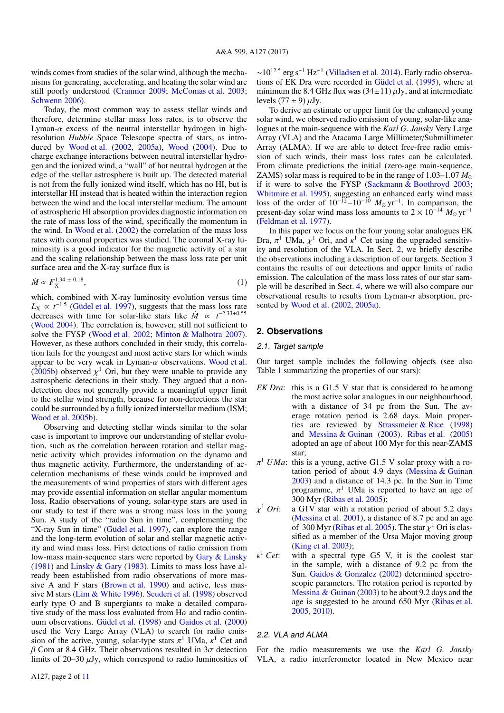winds comes from studies of the solar wind, although the mechanisms for generating, accelerating, and heating the solar wind are still poorly understood [\(Cranmer](#page-10-9) [2009;](#page-10-9) [McComas et al.](#page-10-10) [2003;](#page-10-10) [Schwenn](#page-10-11) [2006\)](#page-10-11).

Today, the most common way to assess stellar winds and therefore, determine stellar mass loss rates, is to observe the Lyman- $\alpha$  excess of the neutral interstellar hydrogen in highresolution *Hubble* Space Telescope spectra of stars, as introduced by [Wood et al.](#page-10-12) [\(2002,](#page-10-12) [2005a\)](#page-10-13), [Wood](#page-10-14) [\(2004\)](#page-10-14). Due to charge exchange interactions between neutral interstellar hydrogen and the ionized wind, a "wall" of hot neutral hydrogen at the edge of the stellar astrosphere is built up. The detected material is not from the fully ionized wind itself, which has no HI, but is interstellar HI instead that is heated within the interaction region between the wind and the local interstellar medium. The amount of astrospheric HI absorption provides diagnostic information on the rate of mass loss of the wind, specifically the momentum in the wind. In [Wood et al.](#page-10-12) [\(2002\)](#page-10-12) the correlation of the mass loss rates with coronal properties was studied. The coronal X-ray luminosity is a good indicator for the magnetic activity of a star and the scaling relationship between the mass loss rate per unit surface area and the X-ray surface flux is

$$
\dot{M} \propto F_X^{1.34 \pm 0.18},\tag{1}
$$

which, combined with X-ray luminosity evolution versus time  $L_X \propto t^{-1.5}$  [\(Güdel et al.](#page-10-15) [1997\)](#page-10-15), suggests that the mass loss rate decreases with time for solar-like stars like  $\dot{M} \propto t^{-2.33 \pm 0.55}$ [\(Wood](#page-10-14) [2004\)](#page-10-14). The correlation is, however, still not sufficient to solve the FYSP [\(Wood et al.](#page-10-12) [2002;](#page-10-12) [Minton & Malhotra](#page-10-16) [2007\)](#page-10-16). However, as these authors concluded in their study, this correlation fails for the youngest and most active stars for which winds appear to be very weak in Lyman- $\alpha$  observations. [Wood et al.](#page-10-17) [\(2005b\)](#page-10-17) observed  $\chi^1$  Ori, but they were unable to provide any astrospheric detections in their study. They aroued that a nonastrospheric detections in their study. They argued that a nondetection does not generally provide a meaningful upper limit to the stellar wind strength, because for non-detections the star could be surrounded by a fully ionized interstellar medium (ISM; [Wood et al.](#page-10-17) [2005b\)](#page-10-17).

Observing and detecting stellar winds similar to the solar case is important to improve our understanding of stellar evolution, such as the correlation between rotation and stellar magnetic activity which provides information on the dynamo and thus magnetic activity. Furthermore, the understanding of acceleration mechanisms of these winds could be improved and the measurements of wind properties of stars with different ages may provide essential information on stellar angular momentum loss. Radio observations of young, solar-type stars are used in our study to test if there was a strong mass loss in the young Sun. A study of the "radio Sun in time", complementing the "X-ray Sun in time" [\(Güdel et al.](#page-10-15) [1997\)](#page-10-15), can explore the range and the long-term evolution of solar and stellar magnetic activity and wind mass loss. First detections of radio emission from low-mass main-sequence stars were reported by [Gary & Linsky](#page-10-18) [\(1981\)](#page-10-18) and [Linsky & Gary](#page-10-19) [\(1983\)](#page-10-19). Limits to mass loss have already been established from radio observations of more massive A and F stars [\(Brown et al.](#page-10-20) [1990\)](#page-10-20) and active, less massive M stars [\(Lim & White](#page-10-21) [1996\)](#page-10-21). [Scuderi et al.](#page-10-22) [\(1998\)](#page-10-22) observed early type O and B supergiants to make a detailed comparative study of the mass loss evaluated from  $H\alpha$  and radio continuum observations. [Güdel et al.](#page-10-23) [\(1998\)](#page-10-23) and [Gaidos et al.](#page-10-4) [\(2000\)](#page-10-4) used the Very Large Array (VLA) to search for radio emission of the active, young, solar-type stars  $\pi^1$  UMa,  $\kappa^1$  Cet and  $\beta$  Com at 8.4 GHz. Their observations resulted in  $3\sigma$  detection  $β$  Com at 8.4 GHz. Their observations resulted in  $3σ$  detection limits of 20–30  $\mu$ Jy, which correspond to radio luminosities of

A127, page 2 of [11](#page-10-8)

 $\sim$ 10<sup>12.5</sup> erg s<sup>-1</sup> Hz<sup>-1</sup> [\(Villadsen et al.](#page-10-24) [2014\)](#page-10-24). Early radio observations of EK Dra were recorded in [Güdel et al.](#page-10-25) [\(1995\)](#page-10-25), where at minimum the 8.4 GHz flux was  $(34\pm11)\,\mu$ Jy, and at intermediate levels  $(77 \pm 9) \mu Jy$ .

To derive an estimate or upper limit for the enhanced young solar wind, we observed radio emission of young, solar-like analogues at the main-sequence with the *Karl G. Jansky* Very Large Array (VLA) and the Atacama Large Millimeter/Submillimeter Array (ALMA). If we are able to detect free-free radio emission of such winds, their mass loss rates can be calculated. From climate predictions the initial (zero-age main-sequence, ZAMS) solar mass is required to be in the range of 1.03–1.07 *M* if it were to solve the FYSP [\(Sackmann & Boothroyd](#page-10-1) [2003;](#page-10-1) [Whitmire et al.](#page-10-26) [1995\)](#page-10-26), suggesting an enhanced early wind mass loss of the order of  $10^{-12} - 10^{-10}$   $M_{\odot}$  yr<sup>-1</sup>. In comparison, the present-day solar wind mass loss amounts to  $2 \times 10^{-14}$   $M_{\odot}$  yr<sup>-1</sup> [\(Feldman et al.](#page-10-27) [1977\)](#page-10-27).

<span id="page-1-1"></span>In this paper we focus on the four young solar analogues EK Dra,  $\pi^1$  UMa,  $\chi^1$  Ori, and  $\kappa^1$  Cet using the upgraded sensitiv-<br>ity and resolution of the VLA. In Sect 2, we briefly describe ity and resolution of the VLA. In Sect. [2,](#page-1-0) we briefly describe the observations including a description of our targets. Section [3](#page-2-0) contains the results of our detections and upper limits of radio emission. The calculation of the mass loss rates of our star sample will be described in Sect. [4,](#page-5-0) where we will also compare our observational results to results from Lyman- $\alpha$  absorption, presented by [Wood et al.](#page-10-12) [\(2002,](#page-10-12) [2005a\)](#page-10-13).

### <span id="page-1-0"></span>**2. Observations**

### 2.1. Target sample

Our target sample includes the following objects (see also Table [1](#page-2-1) summarizing the properties of our stars):

- *EK Dra*: this is a G1.5 V star that is considered to be among the most active solar analogues in our neighbourhood, with a distance of 34 pc from the Sun. The average rotation period is 2.68 days. Main properties are reviewed by [Strassmeier & Rice](#page-10-28) [\(1998\)](#page-10-28) and [Messina & Guinan](#page-10-29) [\(2003\)](#page-10-29). [Ribas et al.](#page-10-30) [\(2005\)](#page-10-30) adopted an age of about 100 Myr for this near-ZAMS star;
- $\pi^1$  *UMa*: this is a young, active G1.5 V solar proxy with a rotation period of about 4.9 days (Messina & Guinan tation period of about 4.9 days [\(Messina & Guinan](#page-10-29) [2003\)](#page-10-29) and a distance of 14.3 pc. In the Sun in Time programme,  $\pi^1$  UMa is reported to have an age of 300 Myr (Ribas et al. 2005). 300 Myr [\(Ribas et al.](#page-10-30) [2005\)](#page-10-30);
- $\chi^1$  Ori: a G1V star with a rotation period of about 5.2 days [\(Messina et al.](#page-10-31) [2001\)](#page-10-31), a distance of 8.7 pc and an age of 300 Myr [\(Ribas et al.](#page-10-30) [2005\)](#page-10-30). The star  $\chi^1$  Ori is classified as a member of the Ursa Maior moving group sified as a member of the Ursa Major moving group [\(King et al.](#page-10-32) [2003\)](#page-10-32);
- $\kappa^1$  *Cet*: with a spectral type G5 V, it is the coolest star in the sample, with a distance of 9.2 pc from the Sun. [Gaidos & Gonzalez](#page-10-33) [\(2002\)](#page-10-33) determined spectroscopic parameters. The rotation period is reported by [Messina & Guinan](#page-10-29) [\(2003\)](#page-10-29) to be about 9.2 days and the age is suggested to be around 650 Myr [\(Ribas et al.](#page-10-30) [2005,](#page-10-30) [2010\)](#page-10-34).

## 2.2. VLA and ALMA

For the radio measurements we use the *Karl G. Jansky* VLA, a radio interferometer located in New Mexico near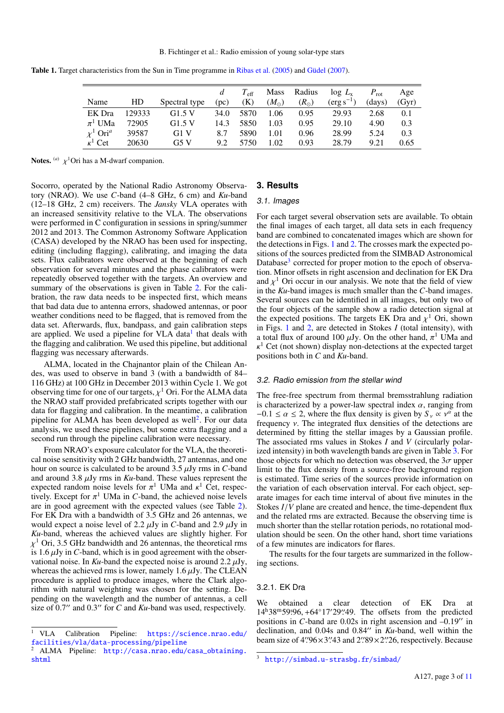<span id="page-2-1"></span>

|  |  |  | <b>Table 1.</b> Target characteristics from the Sun in Time programme in Ribas et al. (2005) and Güdel (2007). |  |  |
|--|--|--|----------------------------------------------------------------------------------------------------------------|--|--|
|  |  |  |                                                                                                                |  |  |

|                           |        |               |      | $T_{\rm eff}$ | Mass          | Radius        | $\log L_{\rm x}$      | $P_{\rm rot}$ | Age   |
|---------------------------|--------|---------------|------|---------------|---------------|---------------|-----------------------|---------------|-------|
| Name                      | HD     | Spectral type | (pc) | (K)           | $(M_{\odot})$ | $(R_{\odot})$ | $(\text{erg s}^{-1})$ | (days)        | (Gyr) |
| EK Dra                    | 129333 | G1.5V         | 34.0 | 5870          | L.06          | 0.95          | 29.93                 | 2.68          | 0.1   |
| $\pi^1$ UMa               | 72905  | G1.5V         | 14.3 | 5850          | 1.03          | 0.95          | 29.10                 | 4.90          | 0.3   |
| $\chi^1$ Ori <sup>a</sup> | 39587  | G1 V          | 8.7  | 5890          | 1.01          | 0.96          | 28.99                 | 5.24          | 0.3   |
| $\kappa^1$ Cet            | 20630  | G5 V          | 9.2  | 5750          | 1.02          | 0.93          | 28.79                 | 9.21          | 0.65  |
|                           |        |               |      |               |               |               |                       |               |       |

**Notes.** (*a*)  $\chi$ <sup>1</sup>Ori has a M-dwarf companion.

Socorro, operated by the National Radio Astronomy Observatory (NRAO). We use *C*-band (4–8 GHz, 6 cm) and *Ku*-band (12–18 GHz, 2 cm) receivers. The *Jansky* VLA operates with an increased sensitivity relative to the VLA. The observations were performed in C configuration in sessions in spring/summer 2012 and 2013. The Common Astronomy Software Application (CASA) developed by the NRAO has been used for inspecting, editing (including flagging), calibrating, and imaging the data sets. Flux calibrators were observed at the beginning of each observation for several minutes and the phase calibrators were repeatedly observed together with the targets. An overview and summary of the observations is given in Table [2.](#page-3-0) For the calibration, the raw data needs to be inspected first, which means that bad data due to antenna errors, shadowed antennas, or poor weather conditions need to be flagged, that is removed from the data set. Afterwards, flux, bandpass, and gain calibration steps are applied. We used a pipeline for VLA data<sup>[1](#page-2-2)</sup> that deals with the flagging and calibration. We used this pipeline, but additional flagging was necessary afterwards.

ALMA, located in the Chajnantor plain of the Chilean Andes, was used to observe in band 3 (with a bandwidth of 84– 116 GHz) at 100 GHz in December 2013 within Cycle 1. We got observing time for one of our targets,  $\chi^1$  Ori. For the ALMA data<br>the NRAO staff provided prefabricated scripts together with our the NRAO staff provided prefabricated scripts together with our data for flagging and calibration. In the meantime, a calibration pipeline for ALMA has been developed as well<sup>[2](#page-2-3)</sup>. For our data analysis, we used these pipelines, but some extra flagging and a second run through the pipeline calibration were necessary.

From NRAO's exposure calculator for the VLA, the theoretical noise sensitivity with 2 GHz bandwidth, 27 antennas, and one hour on source is calculated to be around 3.5 µJy rms in *<sup>C</sup>*-band and around 3.8 µJy rms in *Ku*-band. These values represent the expected random noise levels for  $\pi^1$  UMa and  $\kappa^1$  Cet, respectively Except for  $\pi^1$  UMa in C-band, the achieved noise levels tively. Except for  $\pi^1$  UMa in *C*-band, the achieved noise levels<br>are in good agreement with the expected values (see Table 2) are in good agreement with the expected values (see Table [2\)](#page-3-0). For EK Dra with a bandwidth of 3.5 GHz and 26 antennas, we would expect a noise level of 2.2  $\mu$ Jy in *C*-band and 2.9  $\mu$ Jy in *Ku*-band, whereas the achieved values are slightly higher. For is 1.6  $\mu$ Jy in *C*-band, which is in good agreement with the observational noise. In *Ku*-band the expected noise is around 2.2  $\mu$ Jy  $\chi$ <sup>1</sup> Ori, 3.5 GHz bandwidth and 26 antennas, the theoretical rms vational noise. In  $Ku$ -band the expected noise is around 2.2  $\mu$ Jy, whereas the achieved rms is lower, namely 1.6  $\mu$ Jy. The CLEAN procedure is applied to produce images, where the Clark algorithm with natural weighting was chosen for the setting. Depending on the wavelength and the number of antennas, a cell size of  $0.7$ <sup>"</sup> and  $0.3$ " for *C* and *Ku*-band was used, respectively.

## <span id="page-2-0"></span>**3. Results**

### 3.1. Images

For each target several observation sets are available. To obtain the final images of each target, all data sets in each frequency band are combined to concatenated images which are shown for the detections in Figs. [1](#page-3-1) and [2.](#page-4-0) The crosses mark the expected positions of the sources predicted from the SIMBAD Astronomical Database<sup>[3](#page-2-4)</sup> corrected for proper motion to the epoch of observation. Minor offsets in right ascension and declination for EK Dra and  $\chi^1$  Ori occur in our analysis. We note that the field of view<br>in the Ku-band images is much smaller than the C-band images in the *Ku*-band images is much smaller than the *C*-band images. Several sources can be identified in all images, but only two of the four objects of the sample show a radio detection signal at the expected positions. The targets EK Dra and  $\chi^1$  Ori, shown<br>in Figs. 1 and 2, are detected in Stokes *I* (total intensity) with in Figs. [1](#page-3-1) and [2,](#page-4-0) are detected in Stokes *I* (total intensity), with a total flux of around 100  $\mu$ Jy. On the other hand,  $\pi^1$  UMa and  $\kappa^1$  Cet (not shown) display non-detections at the expected target κ positions both in *C* and *Ku*-band.  $\kappa^1$  Cet (not shown) display non-detections at the expected target

#### 3.2. Radio emission from the stellar wind

The free-free spectrum from thermal bremsstrahlung radiation is characterized by a power-law spectral index  $\alpha$ , ranging from −0.1  $\leq \alpha \leq 2$ , where the flux density is given by  $S_{\nu} \propto \nu^{\alpha}$  at the frequency  $\nu$ . The integrated flux densities of the detections are frequency  $\nu$ . The integrated flux densities of the detections are determined by fitting the stellar images by a Gaussian profile. The associated rms values in Stokes *I* and *V* (circularly polarized intensity) in both wavelength bands are given in Table [3.](#page-4-1) For those objects for which no detection was observed, the  $3\sigma$  upper limit to the flux density from a source-free background region is estimated. Time series of the sources provide information on the variation of each observation interval. For each object, separate images for each time interval of about five minutes in the Stokes *<sup>I</sup>*/*<sup>V</sup>* plane are created and hence, the time-dependent flux and the related rms are extracted. Because the observing time is much shorter than the stellar rotation periods, no rotational modulation should be seen. On the other hand, short time variations of a few minutes are indicators for flares.

The results for the four targets are summarized in the following sections.

## 3.2.1. EK Dra

We obtained a clear detection of EK Dra at  $14h^38m^59s^66$ , +64°17′29′′49. The offsets from the predicted positions in C-band are 0.02s in right ascension and -0.19′′ in positions in  $C$ -band are 0.02s in right ascension and  $-0.19$ <sup>o</sup> in declination, and 0.04s and 0.84" in *Ku*-band, well within the beam size of  $4\frac{96}{3}\times3\frac{43}{43}$  and  $2\frac{98}{2}\times2\frac{7}{26}$ , respectively. Because

<span id="page-2-2"></span><sup>1</sup> VLA Calibration Pipeline: [https://science.nrao.edu/](https://science.nrao.edu/facilities/vla/data-processing/pipeline) [facilities/vla/data-processing/pipeline](https://science.nrao.edu/facilities/vla/data-processing/pipeline)

<span id="page-2-3"></span><sup>2</sup> ALMA Pipeline: [http://casa.nrao.edu/casa\\_obtaining.](http://casa.nrao.edu/casa_obtaining.shtml) [shtml](http://casa.nrao.edu/casa_obtaining.shtml)

<span id="page-2-4"></span><http://simbad.u-strasbg.fr/simbad/>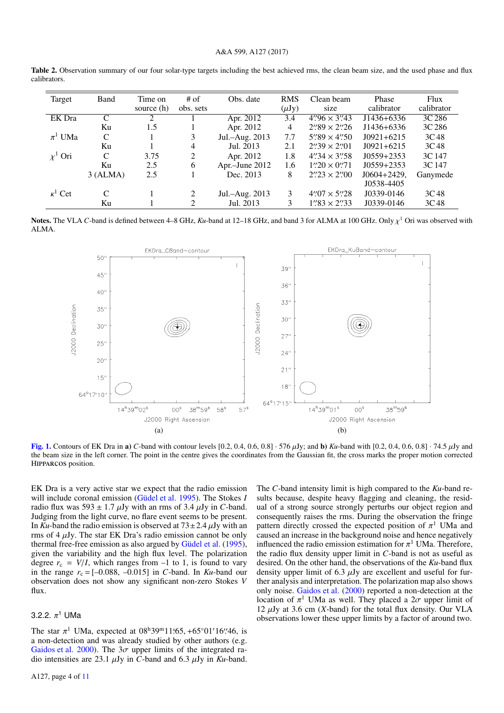### A&A 599, A127 (2017)

<span id="page-3-0"></span>Table 2. Observation summary of our four solar-type targets including the best achieved rms, the clean beam size, and the used phase and flux calibrators.

| Target         | Band          | Time on<br>source (h) | $#$ of<br>obs. sets         | Obs. date      | <b>RMS</b><br>$(\mu Jy)$ | Clean beam<br>size                     | Phase<br>calibrator | Flux<br>calibrator |
|----------------|---------------|-----------------------|-----------------------------|----------------|--------------------------|----------------------------------------|---------------------|--------------------|
| EK Dra         | $\mathcal{C}$ | 2                     |                             | Apr. 2012      | 3.4                      | $4''\cancel{96} \times 3''\cancel{43}$ | J1436+6336          | 3C 286             |
|                | Ku            | 1.5                   |                             | Apr. 2012      | 4                        | $2''89 \times 2''26$                   | J1436+6336          | 3C 286             |
| $\pi^1$ UMa    | C             |                       | 3                           | Jul.-Aug. 2013 | 7.7                      | $5''89 \times 4''50$                   | $J0921+6215$        | 3C <sub>48</sub>   |
|                | Ku            |                       | 4                           | Jul. 2013      | 2.1                      | $2''39 \times 2''01$                   | $J0921+6215$        | 3C <sub>48</sub>   |
| $\chi^1$ Ori   | C             | 3.75                  | 2                           | Apr. 2012      | 1.8                      | $4''34 \times 3''58$                   | $J(0.559 + 2.353)$  | 3C 147             |
|                | Ku            | 2.5                   | 6                           | Apr.-June 2012 | 1.6                      | $1''20 \times 0''71$                   | $J(0.559 + 2.353)$  | 3C 147             |
|                | 3 (ALMA)      | 2.5                   |                             | Dec. 2013      | 8                        | $2\frac{2}{2} \times 2\frac{2}{00}$    | $J0604 + 2429$ ,    | Ganymede           |
|                |               |                       |                             |                |                          |                                        | J0538-4405          |                    |
| $\kappa^1$ Cet | $\mathcal{C}$ |                       | $\mathcal{D}_{\mathcal{L}}$ | Jul.-Aug. 2013 | 3                        | $4''/07 \times 5''/28$                 | J0339-0146          | 3C <sub>48</sub>   |
|                | Ku            |                       | 2                           | Jul. 2013      | 3                        | $1''33 \times 2''33$                   | J0339-0146          | 3C <sub>48</sub>   |
|                |               |                       |                             |                |                          |                                        |                     |                    |

Notes. The VLA *C*-band is defined between 4–8 GHz, *Ku*-band at 12–18 GHz, and band 3 for ALMA at 100 GHz. Only  $\chi^1$  Ori was observed with<br>ALMA ALMA.



<span id="page-3-1"></span>[Fig. 1.](http://dexter.edpsciences.org/applet.php?DOI=10.1051/0004-6361/201629886&pdf_id=1) Contours of EK Dra in a) *C*-band with contour levels  $[0.2, 0.4, 0.6, 0.8]$  ·  $576 \mu$ Jy; and b) *Ku*-band with  $[0.2, 0.4, 0.6, 0.8]$  ·  $74.5 \mu$ Jy and the beam size in the left corner. The point in the centre gives the coordinates from the Gaussian fit, the cross marks the proper motion corrected <sup>H</sup>ipparcos position.

EK Dra is a very active star we expect that the radio emission will include coronal emission [\(Güdel et al.](#page-10-25) [1995\)](#page-10-25). The Stokes *I* radio flux was  $593 \pm 1.7 \mu Jy$  with an rms of 3.4  $\mu Jy$  in *C*-band. Judging from the light curve, no flare event seems to be present. In  $Ku$ -band the radio emission is observed at  $73 \pm 2.4 \mu Jy$  with an rms of  $4 \mu Jy$ . The star EK Dra's radio emission cannot be only thermal free-free emission as also argued by [Güdel et al.](#page-10-25) [\(1995\)](#page-10-25), given the variability and the high flux level. The polarization degree  $r_c = V/I$ , which ranges from  $-1$  to 1, is found to vary in the range  $r_c = [-0.088, -0.015]$  in *C*-band. In *Ku*-band our observation does not show any significant non-zero Stokes *V* flux.

# 3.2.2.  $\pi^1$  UMa

The star  $\pi^1$  UMa, expected at  $08^h39^m11565$ , +65°01'16''46, is<br>a non-detection and was already studied by other authors (e.g. a non-detection and was already studied by other authors (e.g. [Gaidos et al.](#page-10-4) [2000\)](#page-10-4). The  $3\sigma$  upper limits of the integrated radio intensities are 23.1  $\mu$ Jy in *C*-band and 6.3  $\mu$ Jy in *Ku*-band.

The *C*-band intensity limit is high compared to the *Ku*-band results because, despite heavy flagging and cleaning, the residual of a strong source strongly perturbs our object region and consequently raises the rms. During the observation the fringe pattern directly crossed the expected position of  $\pi$ <sup>1</sup> UMa and caused an increase in the background poise and hence negatively caused an increase in the background noise and hence negatively influenced the radio emission estimation for  $\pi^1$  UMa. Therefore, the radio flux density upper limit in C-band is not as useful as the radio flux density upper limit in *C*-band is not as useful as desired. On the other hand, the observations of the *Ku*-band flux density upper limit of 6.3  $\mu$ Jy are excellent and useful for further analysis and interpretation. The polarization map also shows only noise. [Gaidos et al.](#page-10-4) [\(2000\)](#page-10-4) reported a non-detection at the location of  $\pi^1$  UMa as well. They placed a  $2\sigma$  upper limit of 12 uIy at 3.6 cm (X-band) for the total flux density. Our VLA 12  $\mu$ Jy at 3.6 cm (*X*-band) for the total flux density. Our VLA observations lower these upper limits by a factor of around two.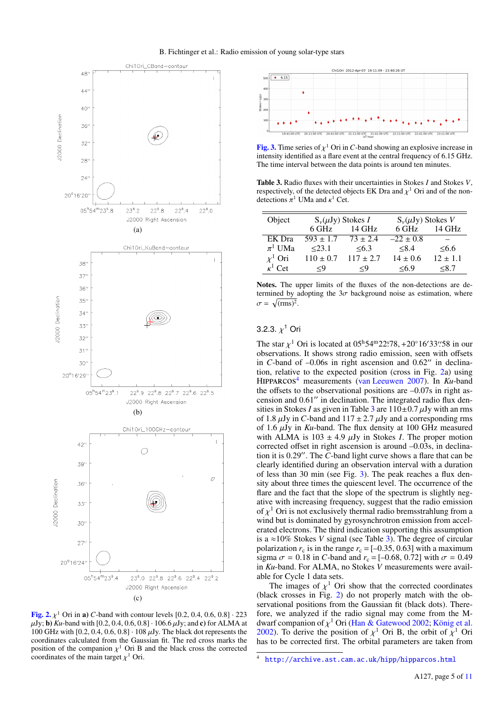

<span id="page-4-0"></span>**[Fig. 2.](http://dexter.edpsciences.org/applet.php?DOI=10.1051/0004-6361/201629886&pdf_id=2)**  $\chi^1$  Ori in a) *C*-band with contour levels [0.2, 0.4, 0.6, 0.8]  $\cdot$  223  $\chi$ <br>*UV*: b) *Ku*-band with [0.2, 0.4, 0.6, 0.8]  $\cdot$  106, 6  $\chi$  UV; and c) for ALMA at  $\mu$ Jy; **b**) *Ku*-band with [0.2, 0.4, 0.6, 0.8]  $\cdot$  106.6  $\mu$ Jy; and **c**) for ALMA at 100 GHz with  $[0.2, 0.4, 0.6, 0.8] \cdot 108 \mu Jy$ . The black dot represents the coordinates calculated from the Gaussian fit. The red cross marks the position of the companion  $\chi^1$  Ori B and the black cross the corrected coordinates of the main target  $\chi^1$  Ori coordinates of the main target  $\chi^1$  Ori.



<span id="page-4-3"></span>**[Fig. 3.](http://dexter.edpsciences.org/applet.php?DOI=10.1051/0004-6361/201629886&pdf_id=3)** Time series of  $\chi^1$  Ori in *C*-band showing an explosive increase in intensity identified as a flare event at the central frequency of 6.15 GHz intensity identified as a flare event at the central frequency of 6.15 GHz. The time interval between the data points is around ten minutes.

<span id="page-4-1"></span>Table 3. Radio fluxes with their uncertainties in Stokes *I* and Stokes *V*, respectively, of the detected objects EK Dra and  $\chi^1$  Ori and of the non-<br>detections  $\pi^1$  UMa and  $\kappa^1$  Cet detections  $\pi^1$  UMa and  $\kappa^1$  Cet.

| Object         | $S_{\nu}(\mu Jy)$ Stokes I |               | $S_{\nu}(\mu Jy)$ Stokes V |              |  |
|----------------|----------------------------|---------------|----------------------------|--------------|--|
|                | 6 GHz                      | 14 GHz        | 6 GHz                      | $14$ GHz     |  |
| EK Dra         | $593 \pm 1.7$              | $73 \pm 2.4$  | $-22 \pm 0.8$              |              |  |
| $\pi^1$ UMa    | < 23.1                     | <6.3          | < 8.4                      | <6.6         |  |
| $x^1$ Ori      | $110 \pm 0.7$              | $117 \pm 2.7$ | $14 \pm 0.6$               | $12 \pm 1.1$ |  |
| $\kappa^1$ Cet | $\leq$ 9                   | $\leq$ 9      | <6.9                       | < 8.7        |  |
|                |                            |               |                            |              |  |

Notes. The upper limits of the fluxes of the non-detections are determined by adopting the  $3\sigma$  background noise as estimation, where  $\sigma = \sqrt{(\text{rms})^2}.$ 

# 3.2.3.  $\chi^1$  Ori

The star  $\chi^1$  Ori is located at 05<sup>h</sup>54<sup>m</sup>22°78, +20°16′33′′58 in our observations. It shows strong radio emission, seen with offsets observations. It shows strong radio emission, seen with offsets in *C*-band of  $-0.06s$  in right ascension and  $0.62$ <sup>o</sup> in declination, relative to the expected position (cross in Fig. [2a](#page-4-0)) using HIPPARCOS<sup>[4](#page-4-2)</sup> measurements [\(van Leeuwen](#page-10-36) [2007\)](#page-10-36). In *Ku*-band the offsets to the observational positions are  $-0.07$ s in right ascension and  $0.61$ " in declination. The integrated radio flux densities in Stokes *I* as given in Table [3](#page-4-1) are  $110 \pm 0.7 \mu$  Jy with an rms of 1.8  $\mu$ Jy in *C*-band and 117  $\pm$  2.7  $\mu$ Jy and a corresponding rms of 1.6 µJy in *Ku*-band. The flux density at 100 GHz measured with ALMA is  $103 \pm 4.9$   $\mu$ Jy in Stokes *I*. The proper motion corrected offset in right ascension is around –0.03s, in declination it is 0.29". The *C*-band light curve shows a flare that can be clearly identified during an observation interval with a duration of less than 30 min (see Fig. [3\)](#page-4-3). The peak reaches a flux density about three times the quiescent level. The occurrence of the flare and the fact that the slope of the spectrum is slightly negative with increasing frequency, suggest that the radio emission of  $\chi^1$  Ori is not exclusively thermal radio bremsstrahlung from a<br>wind but is dominated by gyrosynchrotron emission from accelwind but is dominated by gyrosynchrotron emission from accelerated electrons. The third indication supporting this assumption is a ≈10% Stokes *V* signal (see Table [3\)](#page-4-1). The degree of circular polarization  $r_c$  is in the range  $r_c = [-0.35, 0.63]$  with a maximum sigma  $\sigma = 0.18$  in *C*-band and  $r_c = [-0.68, 0.72]$  with  $\sigma = 0.49$ in *Ku*-band. For ALMA, no Stokes *V* measurements were available for Cycle 1 data sets.

The images of  $\chi^1$  Ori show that the corrected coordinates ck crosses in Fig. 2) do not properly match with the ob-(black crosses in Fig. [2\)](#page-4-0) do not properly match with the observational positions from the Gaussian fit (black dots). Therefore, we analyzed if the radio signal may come from the Mdwarf companion of  $\chi^1$  Ori [\(Han & Gatewood](#page-10-37) [2002;](#page-10-37) [König et al.](#page-10-38) 2002). To derive the position of  $v^1$  Ori B the orbit of  $v^1$  Ori [2002\)](#page-10-38). To derive the position of  $\chi^1$  Ori B, the orbit of  $\chi^1$  Ori has to be corrected first. The orbital parameters are taken from has to be corrected first. The orbital parameters are taken from

<span id="page-4-2"></span><sup>4</sup> <http://archive.ast.cam.ac.uk/hipp/hipparcos.html>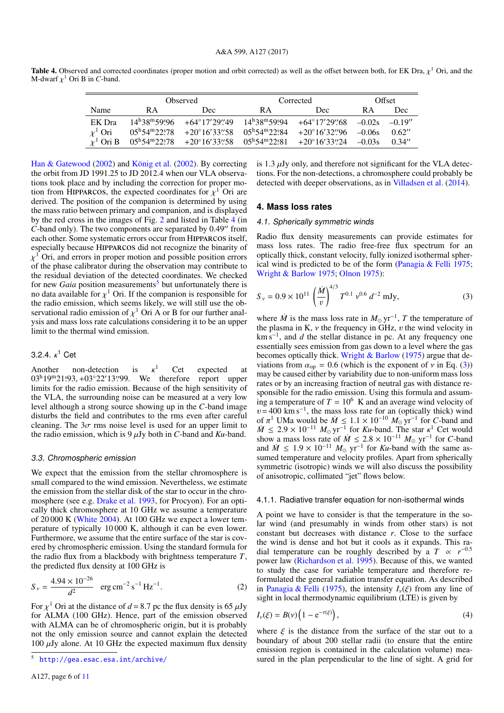<span id="page-5-1"></span>**Table 4.** Observed and corrected coordinates (proper motion and orbit corrected) as well as the offset between both, for EK Dra,  $\chi^1$  Ori, and the M-dwarf  $\nu^1$  Ori B in C-band M-dwarf  $\chi^1$  Ori B in *C*-band.

|              | <b>Observed</b> |                                                                                                                                                                                                 | Corrected |                                                                                                                                | Offset   |           |
|--------------|-----------------|-------------------------------------------------------------------------------------------------------------------------------------------------------------------------------------------------|-----------|--------------------------------------------------------------------------------------------------------------------------------|----------|-----------|
| Name         | R A             | Dec.                                                                                                                                                                                            | R A       | Dec                                                                                                                            | R A      | Dec       |
| EK Dra       |                 |                                                                                                                                                                                                 |           | $14^h38^m59^s96 + 64^{\circ}17^{\prime}29^{\prime}49$ $14^h38^m59^s94 + 64^{\circ}17^{\prime}29^{\prime}68$ $-0.02s$           |          | $-0.19''$ |
| $\chi^1$ Ori |                 |                                                                                                                                                                                                 |           | $05^{\text{h}}54^{\text{m}}22\overset{\text{s}}{.}78$ +20°16'33".58 05 <sup>h</sup> 54 <sup>m</sup> 22.84 +20°16'32".96 -0.06s |          | 0.62''    |
| $x^1$ Ori B  |                 | $05^{\text{h}}54^{\text{m}}22\overset{\text{s}}{.}78$ $+20^{\circ}16'33\overset{\text{s}}{.}58$ $05^{\text{h}}54^{\text{m}}22\overset{\text{s}}{.}81$ $+20^{\circ}16'33\overset{\text{s}}{.}24$ |           |                                                                                                                                | $-0.03s$ | 0.34''    |
|              |                 |                                                                                                                                                                                                 |           |                                                                                                                                |          |           |

[Han & Gatewood](#page-10-37) [\(2002\)](#page-10-37) and [König et al.](#page-10-38) [\(2002\)](#page-10-38). By correcting the orbit from JD 1991.25 to JD 2012.4 when our VLA observations took place and by including the correction for proper motion from HIPPARCOS, the expected coordinates for  $\chi^1$  Ori are<br>derived. The position of the companion is determined by using derived. The position of the companion is determined by using the mass ratio between primary and companion, and is displayed by the red cross in the images of Fig. [2](#page-4-0) and listed in Table [4](#page-5-1) (in *C*-band only). The two components are separated by 0.49" from each other. Some systematic errors occur from HIPPARCOS itself, especially because Hipparcos did not recognize the binarity of χ of the phase calibrator during the observation may contribute to  $\chi^1$  Ori, and errors in proper motion and possible position errors the residual deviation of the detected coordinates. We checked for new *Gaia* position measurements<sup>[5](#page-5-2)</sup> but unfortunately there is no data available for  $\chi^1$  Ori. If the companion is responsible for the radio emission which seems likely we will still use the obthe radio emission, which seems likely, we will still use the observational radio emission of  $\chi^1$  Ori A or B for our further anal-<br>vsis and mass loss rate calculations considering it to be an upper ysis and mass loss rate calculations considering it to be an upper limit to the thermal wind emission.

# 3.2.4.  $\kappa^1$  Cet

Another non-detection is  $\kappa^1$  Cet expected at 03<sup>h</sup>19<sup>m</sup>21:93, +03°22'13'',99. We therefore report upper limits for the radio emission Because of the high sensitivity of  $\kappa^1$  Cet expected at limits for the radio emission. Because of the high sensitivity of the VLA, the surrounding noise can be measured at a very low level although a strong source showing up in the *C*-band image disturbs the field and contributes to the rms even after careful cleaning. The  $3\sigma$  rms noise level is used for an upper limit to the radio emission, which is  $9 \mu Jy$  both in *C*-band and *Ku*-band.

### 3.3. Chromospheric emission

We expect that the emission from the stellar chromosphere is small compared to the wind emission. Nevertheless, we estimate the emission from the stellar disk of the star to occur in the chromosphere (see e.g. [Drake et al.](#page-10-39) [1993,](#page-10-39) for Procyon). For an optically thick chromosphere at 10 GHz we assume a temperature of 20 000 K [\(White](#page-10-40) [2004\)](#page-10-40). At 100 GHz we expect a lower temperature of typically 10 000 K, although it can be even lower. Furthermore, we assume that the entire surface of the star is covered by chromospheric emission. Using the standard formula for the radio flux from a blackbody with brightness temperature *T*, the predicted flux density at 100 GHz is

$$
S_{\nu} = \frac{4.94 \times 10^{-26}}{d^2} \quad \text{erg cm}^{-2} \text{ s}^{-1} \text{Hz}^{-1}.
$$
 (2)

For  $\chi^1$  Ori at the distance of  $d = 8.7$  pc the flux density is 65  $\mu$ Jy for ALMA (100 GHz). Hence, part of the emission observed for ALMA (100 GHz). Hence, part of the emission observed with ALMA can be of chromospheric origin, but it is probably not the only emission source and cannot explain the detected 100  $\mu$ Jy alone. At 10 GHz the expected maximum flux density

is 1.3  $\mu$ Jy only, and therefore not significant for the VLA detections. For the non-detections, a chromosphere could probably be detected with deeper observations, as in [Villadsen et al.](#page-10-24) [\(2014\)](#page-10-24).

### <span id="page-5-0"></span>**4. Mass loss rates**

## 4.1. Spherically symmetric winds

Radio flux density measurements can provide estimates for mass loss rates. The radio free-free flux spectrum for an optically thick, constant velocity, fully ionized isothermal spherical wind is predicted to be of the form [\(Panagia & Felli](#page-10-41) [1975;](#page-10-41) [Wright & Barlow](#page-10-42) [1975;](#page-10-42) [Olnon](#page-10-43) [1975\)](#page-10-43):

<span id="page-5-3"></span>
$$
S_{\nu} = 0.9 \times 10^{11} \left(\frac{\dot{M}}{v}\right)^{4/3} T^{0.1} \nu^{0.6} d^{-2} \text{ mJy}, \tag{3}
$$

where  $\dot{M}$  is the mass loss rate in  $M_{\odot}$  yr<sup>-1</sup>, *T* the temperature of the plasma in K,  $\nu$  the frequency in GHz,  $\nu$  the wind velocity in km s<sup>-1</sup>, and *d* the stellar distance in pc. At any frequency one essentially sees emission from gas down to a level where the gas becomes optically thick. [Wright & Barlow](#page-10-42) [\(1975\)](#page-10-42) argue that deviations from  $\alpha_{op} = 0.6$  (which is the exponent of v in Eq. [\(3\)](#page-5-3)) may be caused either by variability due to non-uniform mass loss rates or by an increasing fraction of neutral gas with distance responsible for the radio emission. Using this formula and assuming a temperature of  $T = 10^6$  K and an average wind velocity of  $v = 400$  km s<sup>-1</sup>, the mass loss rate for an (optically thick) wind of π <sup>1</sup> UMa would be  $\dot{M} \leq 1.1 \times 10^{-10} M_{\odot}$  yr<sup>-1</sup> for *C*-band and  $\leq 2.9 \times 10^{-11} M_{\odot}$  yr<sup>-1</sup> for *Ku*-band. The star  $\kappa^1$  Cet would  $\dot{M} \leq 2.9 \times 10^{-11} M_{\odot} \text{ yr}^{-1}$  for *Ku*-band. The star  $\kappa^1$  Cet would<br>show a mass loss rate of  $\dot{M} \leq 2.8 \times 10^{-11} M_{\odot} \text{ yr}^{-1}$  for *C*-band show a mass loss rate of  $\dot{M} \le 2.8 \times 10^{-11} M_{\odot} \text{ yr}^{-1}$  for *C*-band and  $\dot{M} < 1.9 \times 10^{-11} M_{\odot} \text{ yr}^{-1}$  for *Ku*-band with the same as and  $\dot{M} \leq 1.9 \times 10^{-11} M_{\odot} \text{ yr}^{-1}$  for *Ku*-band with the same as-<br>sumed temperature and velocity profiles. Apart from spherically sumed temperature and velocity profiles. Apart from spherically symmetric (isotropic) winds we will also discuss the possibility of anisotropic, collimated "jet" flows below.

#### 4.1.1. Radiative transfer equation for non-isothermal winds

A point we have to consider is that the temperature in the solar wind (and presumably in winds from other stars) is not constant but decreases with distance *r*. Close to the surface the wind is dense and hot but it cools as it expands. This radial temperature can be roughly described by a  $T \propto r^{-0.5}$ power law [\(Richardson et al.](#page-10-44) [1995\)](#page-10-44). Because of this, we wanted to study the case for variable temperature and therefore reformulated the general radiation transfer equation. As described in [Panagia & Felli](#page-10-41) [\(1975\)](#page-10-41), the intensity  $I_{\nu}(\xi)$  from any line of sight in local thermodynamic equilibrium (LTE) is given by

$$
I_{\nu}(\xi) = B(\nu) \left( 1 - e^{-\tau(\xi)} \right), \tag{4}
$$

where  $\xi$  is the distance from the surface of the star out to a boundary of about 200 stellar radii (to ensure that the entire emission region is contained in the calculation volume) measured in the plan perpendicular to the line of sight. A grid for

<span id="page-5-2"></span><sup>5</sup> <http://gea.esac.esa.int/archive/>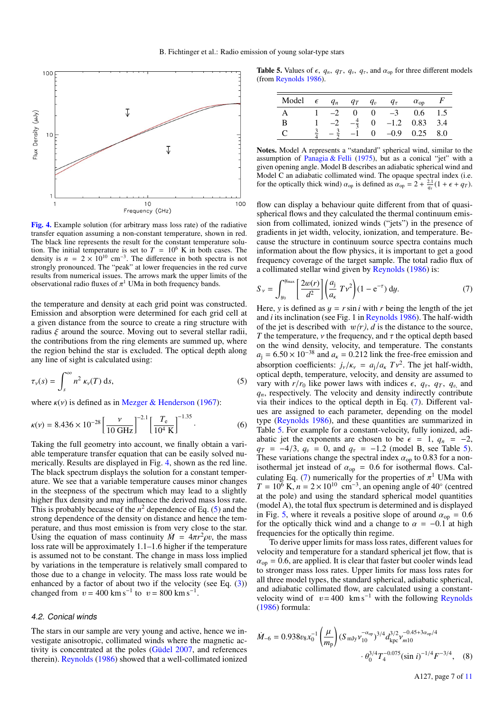

<span id="page-6-0"></span>[Fig. 4.](http://dexter.edpsciences.org/applet.php?DOI=10.1051/0004-6361/201629886&pdf_id=4) Example solution (for arbitrary mass loss rate) of the radiative transfer equation assuming a non-constant temperature, shown in red. The black line represents the result for the constant temperature solution. The initial temperature is set to  $T = 10^6$  K in both cases. The density is  $n = 2 \times 10^{10}$  cm<sup>-3</sup>. The difference in both spectra is not strongly pronounced. The "peak" at lower frequencies in the red curve results from numerical issues. The arrows mark the upper limits of the observational radio fluxes of  $\pi^1$  UMa in both frequency bands.

the temperature and density at each grid point was constructed. Emission and absorption were determined for each grid cell at a given distance from the source to create a ring structure with radius  $\xi$  around the source. Moving out to several stellar radii, the contributions from the ring elements are summed up, where the region behind the star is excluded. The optical depth along any line of sight is calculated using:

$$
\tau_{\nu}(s) = \int_{s}^{\infty} n^2 \kappa_{\nu}(T) \, \mathrm{d}s,\tag{5}
$$

where  $\kappa(\nu)$  is defined as in [Mezger & Henderson](#page-10-45) [\(1967\)](#page-10-45):

$$
\kappa(\nu) = 8.436 \times 10^{-28} \left[ \frac{\nu}{10 \text{ GHz}} \right]^{-2.1} \left[ \frac{T_e}{10^4 \text{ K}} \right]^{-1.35}.
$$
 (6)

Taking the full geometry into account, we finally obtain a variable temperature transfer equation that can be easily solved numerically. Results are displayed in Fig. [4,](#page-6-0) shown as the red line. The black spectrum displays the solution for a constant temperature. We see that a variable temperature causes minor changes in the steepness of the spectrum which may lead to a slightly higher flux density and may influence the derived mass loss rate. This is probably because of the  $n^2$  dependence of Eq. [\(5\)](#page-6-1) and the strong dependence of the density on distance and hence the temperature, and thus most emission is from very close to the star. Using the equation of mass continuity  $\dot{M} = 4\pi r^2 \rho v$ , the mass loss rate will be approximately 1.1–1.6 bigher if the temperature loss rate will be approximately 1.1–1.6 higher if the temperature is assumed not to be constant. The change in mass loss implied by variations in the temperature is relatively small compared to those due to a change in velocity. The mass loss rate would be enhanced by a factor of about two if the velocity (see Eq. [\(3\)](#page-5-3)) changed from  $v = 400 \text{ km s}^{-1}$  to  $v = 800 \text{ km s}^{-1}$ .

### 4.2. Conical winds

The stars in our sample are very young and active, hence we investigate anisotropic, collimated winds where the magnetic activity is concentrated at the poles [\(Güdel](#page-10-35) [2007,](#page-10-35) and references therein). [Reynolds](#page-10-46) [\(1986\)](#page-10-46) showed that a well-collimated ionized

**Table 5.** Values of  $\epsilon$ ,  $q_n$ ,  $q_T$ ,  $q_v$ ,  $q_\tau$ , and  $\alpha_{op}$  for three different models (from Reynolds 1986). (from [Reynolds](#page-10-46) [1986\)](#page-10-46).

<span id="page-6-3"></span>

| Model | $\epsilon$ |      | $q_n$ $q_T$ | $q_v$          | $q_{\tau}$  | $\alpha_{\rm op}$ |     |
|-------|------------|------|-------------|----------------|-------------|-------------------|-----|
|       |            | $-2$ | $\theta$    | $\sim 0$       | $-3$        | $0.6\,$           | 1.5 |
| в     |            |      |             | $\overline{0}$ | $-1.2$ 0.83 |                   | 3.4 |
|       |            |      |             |                | $-0.9$      | 0.25              | 8.0 |

Notes. Model A represents a "standard" spherical wind, similar to the assumption of [Panagia & Felli](#page-10-41) [\(1975\)](#page-10-41), but as a conical "jet" with a given opening angle. Model B describes an adiabatic spherical wind and Model C an adiabatic collimated wind. The opaque spectral index (i.e. for the optically thick wind)  $\alpha_{op}$  is defined as  $\alpha_{op} = 2 + \frac{2.1}{q_{\tau}}(1 + \epsilon + q_T)$ .

flow can display a behaviour quite different from that of quasispherical flows and they calculated the thermal continuum emission from collimated, ionized winds ("jets") in the presence of gradients in jet width, velocity, ionization, and temperature. Because the structure in continuum source spectra contains much information about the flow physics, it is important to get a good frequency coverage of the target sample. The total radio flux of a collimated stellar wind given by [Reynolds](#page-10-46) [\(1986\)](#page-10-46) is:

<span id="page-6-2"></span>
$$
S_{v} = \int_{y_{0}}^{y_{\text{max}}} \left[ \frac{2w(r)}{d^{2}} \right] \left( \frac{a_{j}}{a_{\kappa}} T v^{2} \right) (1 - e^{-\tau}) dy.
$$
 (7)

<span id="page-6-1"></span>Here, *y* is defined as  $y = r \sin i$  with *r* being the length of the jet and *i* its inclination (see Fig. 1 in [Reynolds](#page-10-46) [1986\)](#page-10-46). The half-width of the jet is described with  $w(r)$ , *d* is the distance to the source, *T* the temperature,  $\nu$  the frequency, and  $\tau$  the optical depth based on the wind density, velocity, and temperature. The constants  $a_i = 6.50 \times 10^{-38}$  and  $a_k = 0.212$  link the free-free emission and absorption coefficients:  $j_v / \kappa_v = a_j / a_k T v^2$ . The jet half-width, optical denth temperature velocity and density are assumed to optical depth, temperature, velocity, and density are assumed to vary with  $r/r_0$  like power laws with indices  $\epsilon$ ,  $q_{\tau}$ ,  $q_{\tau}$ ,  $q_{\nu}$ , and *qn*, respectively. The velocity and density indirectly contribute via their indices to the optical depth in Eq. [\(7\)](#page-6-2). Different values are assigned to each parameter, depending on the model type [\(Reynolds](#page-10-46) [1986\)](#page-10-46), and these quantities are summarized in Table [5.](#page-6-3) For example for a constant-velocity, fully ionized, adiabatic jet the exponents are chosen to be  $\epsilon = 1$ ,  $q_n = -2$ ,  $q_T = -4/3$ ,  $q_v = 0$ , and  $q_\tau = -1.2$  (model B, see Table [5\)](#page-6-3). These variations change the spectral index  $\alpha_{op}$  to 0.83 for a nonisothermal jet instead of  $\alpha_{op} = 0.6$  for isothermal flows. Cal-culating Eq. [\(7\)](#page-6-2) numerically for the properties of  $\pi^1$  UMa with  $T = 10^6$  K,  $n = 2 \times 10^{10}$  cm<sup>-3</sup>, an opening angle of 40° (centred culating Eq. (7) numerically for the properties of  $\pi$ <sup>1</sup> UMa with at the pole) and using the standard spherical model quantities (model A), the total flux spectrum is determined and is displayed in Fig. [5,](#page-7-0) where it reveals a positive slope of around  $\alpha_{\rm on} = 0.6$ for the optically thick wind and a change to  $\alpha = -0.1$  at high frequencies for the optically thin regime.

To derive upper limits for mass loss rates, different values for velocity and temperature for a standard spherical jet flow, that is  $\alpha_{\rm on} = 0.6$ , are applied. It is clear that faster but cooler winds lead to stronger mass loss rates. Upper limits for mass loss rates for all three model types, the standard spherical, adiabatic spherical, and adiabatic collimated flow, are calculated using a constantvelocity wind of  $v = 400$  km s<sup>-1</sup> with the following [Reynolds](#page-10-46) [\(1986\)](#page-10-46) formula:

$$
\dot{M}_{-6} = 0.938v_8x_0^{-1} \left(\frac{\mu}{m_\text{p}}\right) (S_{\text{mJy}}v_{10}^{-\alpha_{\text{op}}})^{3/4} d_{\text{kpc}}^{3/2} v_{m10}^{-0.45+3\alpha_{\text{op}}/4} \cdot \theta_0^{3/4} T_4^{-0.075} (\sin i)^{-1/4} F^{-3/4}, \quad (8)
$$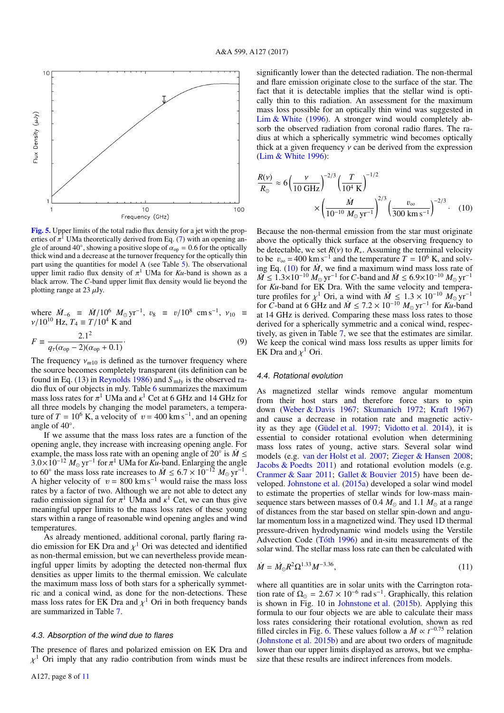

<span id="page-7-0"></span>[Fig. 5.](http://dexter.edpsciences.org/applet.php?DOI=10.1051/0004-6361/201629886&pdf_id=5) Upper limits of the total radio flux density for a jet with the properties of  $\pi^1$  UMa theoretically derived from Eq. [\(7\)](#page-6-2) with an opening an-<br>gle of around 40° showing a positive slope of  $\alpha_{\text{max}} = 0.6$  for the optically gle of around 40°, showing a positive slope of  $\alpha_{op} = 0.6$  for the optically thin thick wind and a decrease at the turnover frequency for the optically thin thick wind and a decrease at the turnover frequency for the optically thin part using the quantities for model A (see Table [5\)](#page-6-3). The observational upper limit radio flux density of  $\pi^1$  UMa for  $Ku$ -band is shown as a black arrow. The *C*-band upper limit flux density would lie beyond the black arrow. The *C*-band upper limit flux density would lie beyond the plotting range at 23  $\mu$ Jy.

where  $\dot{M}_{-6} \equiv \dot{M}/10^6 \, M_{\odot} \, \text{yr}^{-1}$ ,  $v_8 \equiv v/10^8 \, \text{cm s}^{-1}$ ,  $v_{10} \equiv v/10^{10} \, \text{Hz}$   $T_4 = T/10^4 \, \text{K}$  and  $v/10^{10}$  Hz,  $T_4 \equiv T/10^4$  K and

$$
F = \frac{2.1^2}{q_\tau (\alpha_{\text{op}} - 2)(\alpha_{\text{op}} + 0.1)}.
$$
 (9)

The frequency  $v_{m10}$  is defined as the turnover frequency where the source becomes completely transparent (its definition can be found in Eq. (13) in [Reynolds](#page-10-46) [1986\)](#page-10-46) and *S* mJy is the observed radio flux of our objects in mJy. Table [6](#page-8-0) summarizes the maximum mass loss rates for  $\pi^1$  UMa and  $\kappa^1$  Cet at 6 GHz and 14 GHz for all three models by changing the model parameters a temperaall three models by changing the model parameters, a temperature of  $T = 10^6$  K, a velocity of  $v = 400$  km s<sup>-1</sup>, and an opening angle of 40◦ .

If we assume that the mass loss rates are a function of the opening angle, they increase with increasing opening angle. For example, the mass loss rate with an opening angle of 20 $\degree$  is  $\dot{M} \leq$  $3.0\times10^{-12} M_{\odot}$  yr<sup>-1</sup> for  $\pi^1$  UMa for *Ku*-band. Enlarging the angle<br>to 60° the mass loss rate increases to  $\dot{M}$  < 6.7 × 10<sup>-12</sup>  $M_{\odot}$  yr<sup>-1</sup> to 60° the mass loss rate increases to  $\dot{M} \le 6.7 \times 10^{-12} M_{\odot} \text{ yr}^{-1}$ .<br>A higher velocity of  $v = 800 \text{ km s}^{-1}$  would raise the mass loss A higher velocity of  $v = 800 \text{ km s}^{-1}$  would raise the mass loss rates by a factor of two. Although we are not able to detect any radio emission signal for  $\pi^1$  UMa and  $\kappa^1$  Cet, we can thus give meaningful upper limits to the mass loss rates of these young meaningful upper limits to the mass loss rates of these young stars within a range of reasonable wind opening angles and wind temperatures.

As already mentioned, additional coronal, partly flaring radio emission for EK Dra and  $\chi^1$  Ori was detected and identified as non-thermal emission but we can nevertheless provide meanas non-thermal emission, but we can nevertheless provide meaningful upper limits by adopting the detected non-thermal flux densities as upper limits to the thermal emission. We calculate the maximum mass loss of both stars for a spherically symmetric and a conical wind, as done for the non-detections. These mass loss rates for EK Dra and  $\chi^1$  Ori in both frequency bands are summarized in Table 7 are summarized in Table [7.](#page-8-1)

### 4.3. Absorption of the wind due to flares

The presence of flares and polarized emission on EK Dra and  $\chi^1$  Ori imply that any radio contribution from winds must be

A127, page 8 of [11](#page-10-8)

significantly lower than the detected radiation. The non-thermal and flare emission originate close to the surface of the star. The fact that it is detectable implies that the stellar wind is optically thin to this radiation. An assessment for the maximum mass loss possible for an optically thin wind was suggested in [Lim & White](#page-10-21) [\(1996\)](#page-10-21). A stronger wind would completely absorb the observed radiation from coronal radio flares. The radius at which a spherically symmetric wind becomes optically thick at a given frequency  $\nu$  can be derived from the expression [\(Lim & White](#page-10-21) [1996\)](#page-10-21):

<span id="page-7-1"></span>
$$
\frac{R(v)}{R_{\odot}} \approx 6 \left(\frac{v}{10 \text{ GHz}}\right)^{-2/3} \left(\frac{T}{10^4 \text{ K}}\right)^{-1/2} \times \left(\frac{\dot{M}}{10^{-10} \text{ M}_{\odot} \text{ yr}^{-1}}\right)^{2/3} \left(\frac{v_{\infty}}{300 \text{ km s}^{-1}}\right)^{-2/3} . \quad (10)
$$

Because the non-thermal emission from the star must originate above the optically thick surface at the observing frequency to be detectable, we set  $R(v)$  to  $R_{*}$ . Assuming the terminal velocity to be  $v_{\infty} = 400 \text{ km s}^{-1}$  and the temperature  $T = 10^6 \text{ K}$ , and solving Eq. (10) for  $\dot{M}$  we find a maximum wind mass loss rate of ing Eq.  $(10)$  for  $\dot{M}$ , we find a maximum wind mass loss rate of *M* ≤ 1.3×10<sup>-10</sup>  $M_{\odot}$  yr<sup>-1</sup> for *C*-band and  $\dot{M}$  ≤ 6.9×10<sup>-10</sup>  $M_{\odot}$  yr<sup>-1</sup> for *Ku*-band for EK Dra. With the same velocity and temperafor *Ku*-band for EK Dra. With the same velocity and temperature profiles for  $\chi^1$  Ori, a wind with  $\dot{M} \leq 1.3 \times 10^{-10} M_{\odot} \text{ yr}^{-1}$ <br>for C-band at 6 GHz and  $\dot{M} \leq 7.2 \times 10^{-10} M_{\odot} \text{ yr}^{-1}$  for Ku-band for *C*-band at 6 GHz and  $\dot{M} \le 7.2 \times 10^{-10} M_{\odot} \text{ yr}^{-1}$  for *Ku*-band at 14 GHz is derived. Comparing these mass loss rates to those at 14 GHz is derived. Comparing these mass loss rates to those derived for a spherically symmetric and a conical wind, respectively, as given in Table [7,](#page-8-1) we see that the estimates are similar. We keep the conical wind mass loss results as upper limits for EK Dra and  $\chi^1$  Ori.

## 4.4. Rotational evolution

As magnetized stellar winds remove angular momentum from their host stars and therefore force stars to spin down [\(Weber & Davis](#page-10-47) [1967;](#page-10-47) [Skumanich](#page-10-48) [1972;](#page-10-48) [Kraft](#page-10-49) [1967\)](#page-10-49) and cause a decrease in rotation rate and magnetic activity as they age [\(Güdel et al.](#page-10-15) [1997;](#page-10-15) [Vidotto et al.](#page-10-50) [2014\)](#page-10-50), it is essential to consider rotational evolution when determining mass loss rates of young, active stars. Several solar wind models (e.g. [van der Holst et al.](#page-10-51) [2007;](#page-10-51) [Zieger & Hansen](#page-10-52) [2008;](#page-10-52) [Jacobs & Poedts](#page-10-53) [2011\)](#page-10-53) and rotational evolution models (e.g. [Cranmer & Saar](#page-10-54) [2011;](#page-10-54) [Gallet & Bouvier](#page-10-55) [2015\)](#page-10-55) have been developed. [Johnstone et al.](#page-10-56) [\(2015a\)](#page-10-56) developed a solar wind model to estimate the properties of stellar winds for low-mass mainsequence stars between masses of 0.4  $M_{\odot}$  and 1.1  $M_{\odot}$  at a range of distances from the star based on stellar spin-down and angular momentum loss in a magnetized wind. They used 1D thermal pressure-driven hydrodynamic wind models using the Verstile Advection Code [\(Tóth](#page-10-57) [1996\)](#page-10-57) and in-situ measurements of the solar wind. The stellar mass loss rate can then be calculated with

$$
\dot{M} = \dot{M}_{\odot} R^2 \Omega^{1.33} M^{-3.36},\tag{11}
$$

where all quantities are in solar units with the Carrington rotation rate of  $\Omega_{\odot} = 2.67 \times 10^{-6}$  rad s<sup>-1</sup>. Graphically, this relation<br>is shown in Fig. 10 in Johnstone et al. (2015b). Applying this is shown in Fig. 10 in [Johnstone et al.](#page-10-58) [\(2015b\)](#page-10-58). Applying this formula to our four objects we are able to calculate their mass loss rates considering their rotational evolution, shown as red filled circles in Fig. [6.](#page-8-2) These values follow a  $\dot{M} \propto t^{-0.75}$  relation [\(Johnstone et al.](#page-10-58) [2015b\)](#page-10-58) and are about two orders of magnitude lower than our upper limits displayed as arrows, but we emphasize that these results are indirect inferences from models.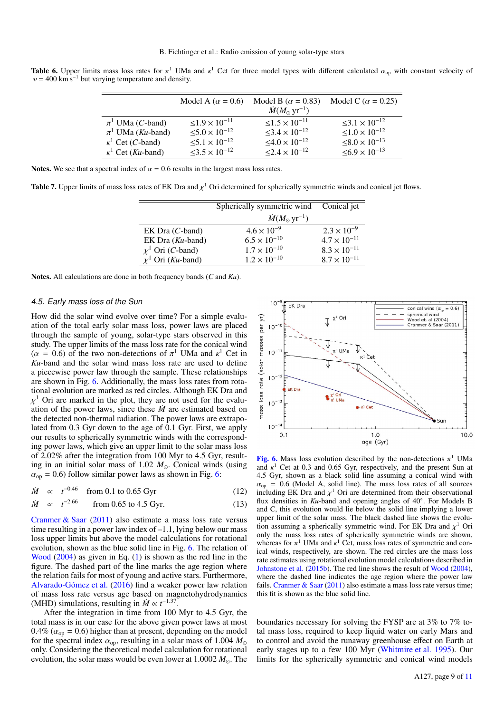<span id="page-8-0"></span>**Table 6.** Upper limits mass loss rates for  $\pi^1$  UMa and  $\kappa^1$  Cet for three model types with different calculated  $\alpha_{\rm op}$  with constant velocity of  $v = 400$  km s<sup>-1</sup> but varying temperature and density  $v = 400 \text{ km s}^{-1}$  but varying temperature and density.

|                                   | Model A ( $\alpha$ = 0.6)             | Model B ( $\alpha$ = 0.83)            | Model C ( $\alpha$ = 0.25) |
|-----------------------------------|---------------------------------------|---------------------------------------|----------------------------|
|                                   |                                       | $\dot{M}(M_{\odot} \,\rm yr^{-1})$    |                            |
| $\pi^1$ UMa ( <i>C</i> -band)     | $\leq$ 1.9 $\times$ 10 <sup>-11</sup> | $\leq$ 1.5 $\times$ 10 <sup>-11</sup> | $\leq 3.1 \times 10^{-12}$ |
| $\pi^1$ UMa ( <i>Ku</i> -band)    | $\leq 5.0 \times 10^{-12}$            | $<$ 3.4 $\times$ 10 <sup>-12</sup>    | $\leq 1.0 \times 10^{-12}$ |
| $\kappa^1$ Cet ( <i>C</i> -band)  | $\leq 5.1 \times 10^{-12}$            | $<4.0\times10^{-12}$                  | $\leq 8.0 \times 10^{-13}$ |
| $\kappa^1$ Cet ( <i>Ku</i> -band) | $<$ 3.5 $\times$ 10 <sup>-12</sup>    | $\leq$ 2.4 $\times$ 10 <sup>-12</sup> | $\leq 6.9 \times 10^{-13}$ |
|                                   |                                       |                                       |                            |

Notes. We see that a spectral index of  $\alpha = 0.6$  results in the largest mass loss rates.

<span id="page-8-1"></span>**Table 7.** Upper limits of mass loss rates of EK Dra and  $\chi^1$  Ori determined for spherically symmetric winds and conical jet flows.

|                                 | Spherically symmetric wind         | Conical jet           |
|---------------------------------|------------------------------------|-----------------------|
|                                 | $\dot{M}(M_{\odot} \,\rm yr^{-1})$ |                       |
| $EK$ Dra $(C$ -band)            | $4.6 \times 10^{-9}$               | $2.3 \times 10^{-9}$  |
| EK Dra $(Ku$ -band)             | $6.5 \times 10^{-10}$              | $4.7 \times 10^{-11}$ |
| $\chi^1$ Ori ( <i>C</i> -band)  | $1.7 \times 10^{-10}$              | $8.3 \times 10^{-11}$ |
| $\chi^1$ Ori ( <i>Ku</i> -band) | $1.2 \times 10^{-10}$              | $8.7 \times 10^{-11}$ |
|                                 |                                    |                       |

Notes. All calculations are done in both frequency bands (*C* and *Ku*).

### 4.5. Early mass loss of the Sun

How did the solar wind evolve over time? For a simple evaluation of the total early solar mass loss, power laws are placed through the sample of young, solar-type stars observed in this study. The upper limits of the mass loss rate for the conical wind  $(\alpha = 0.6)$  of the two non-detections of  $\pi^1$  UMa and  $\kappa^1$  Cet in <br>Ku-band and the solar wind mass loss rate are used to define *Ku*-band and the solar wind mass loss rate are used to define a piecewise power law through the sample. These relationships are shown in Fig. [6.](#page-8-2) Additionally, the mass loss rates from rotational evolution are marked as red circles. Although EK Dra and ation of the power laws, since these  $\dot{M}$  are estimated based on  $\chi^1$  Ori are marked in the plot, they are not used for the evaluthe detected non-thermal radiation. The power laws are extrapolated from 0.3 Gyr down to the age of 0.1 Gyr. First, we apply our results to spherically symmetric winds with the corresponding power laws, which give an upper limit to the solar mass loss of 2.02% after the integration from 100 Myr to 4.5 Gyr, resulting in an initial solar mass of 1.02  $M_{\odot}$ . Conical winds (using  $\alpha_{\rm op}$  = 0.6) follow similar power laws as shown in Fig. [6:](#page-8-2)

$$
\dot{M} \propto t^{-0.46} \quad \text{from 0.1 to 0.65 Gyr} \tag{12}
$$

$$
\dot{M} \propto t^{-2.66} \qquad \text{from 0.65 to 4.5 Gyr.} \tag{13}
$$

[Cranmer & Saar](#page-10-54) [\(2011\)](#page-10-54) also estimate a mass loss rate versus time resulting in a power law index of –1.1, lying below our mass loss upper limits but above the model calculations for rotational evolution, shown as the blue solid line in Fig. [6.](#page-8-2) The relation of [Wood](#page-10-14) [\(2004\)](#page-10-14) as given in Eq. [\(1\)](#page-1-1) is shown as the red line in the figure. The dashed part of the line marks the age region where the relation fails for most of young and active stars. Furthermore, [Alvarado-Gómez et al.](#page-10-59) [\(2016\)](#page-10-59) find a weaker power law relation of mass loss rate versus age based on magnetohydrodynamics (MHD) simulations, resulting in  $\dot{M} \propto t^{-1.37}$ .

After the integration in time from 100 Myr to 4.5 Gyr, the total mass is in our case for the above given power laws at most  $0.4\%$  ( $\alpha_{\text{op}} = 0.6$ ) higher than at present, depending on the model for the spectral index  $\alpha_{\rm op}$ , resulting in a solar mass of 1.004  $M_{\odot}$ only. Considering the theoretical model calculation for rotational evolution, the solar mass would be even lower at  $1.0002 M_{\odot}$ . The



<span id="page-8-2"></span>**[Fig. 6.](http://dexter.edpsciences.org/applet.php?DOI=10.1051/0004-6361/201629886&pdf_id=6)** Mass loss evolution described by the non-detections  $\pi^1$  UMa and  $\kappa^1$  Cet at 0.3 and 0.65 Gyr respectively and the present Sun at and  $\kappa^1$  Cet at 0.3 and 0.65 Gyr, respectively, and the present Sun at 4.5 Gyr, shown as a black solid line assuming a conical wind with 4.5 Gyr, shown as a black solid line assuming a conical wind with  $\alpha_{\rm op} = 0.6$  (Model A, solid line). The mass loss rates of all sources including EK Dra and  $\chi^1$  Ori are determined from their observational<br>flux densities in Ku-band and opening angles of 40° For Models B flux densities in *Ku*-band and opening angles of 40°. For Models B and C, this evolution would lie below the solid line implying a lower upper limit of the solar mass. The black dashed line shows the evolution assuming a spherically symmetric wind. For EK Dra and  $\chi^1$  Orionly the mass loss rates of spherically symmetric winds are shown only the mass loss rates of spherically symmetric winds are shown, whereas for  $\pi^1$  UMa and  $\kappa^1$  Cet, mass loss rates of symmetric and con-<br>ical winds respectively are shown. The red circles are the mass loss ical winds, respectively, are shown. The red circles are the mass loss rate estimates using rotational evolution model calculations described in [Johnstone et al.](#page-10-58) [\(2015b\)](#page-10-58). The red line shows the result of [Wood](#page-10-14) [\(2004\)](#page-10-14), where the dashed line indicates the age region where the power law fails. [Cranmer & Saar](#page-10-54) [\(2011\)](#page-10-54) also estimate a mass loss rate versus time; this fit is shown as the blue solid line.

boundaries necessary for solving the FYSP are at 3% to 7% total mass loss, required to keep liquid water on early Mars and to control and avoid the runaway greenhouse effect on Earth at early stages up to a few 100 Myr [\(Whitmire et al.](#page-10-26) [1995\)](#page-10-26). Our limits for the spherically symmetric and conical wind models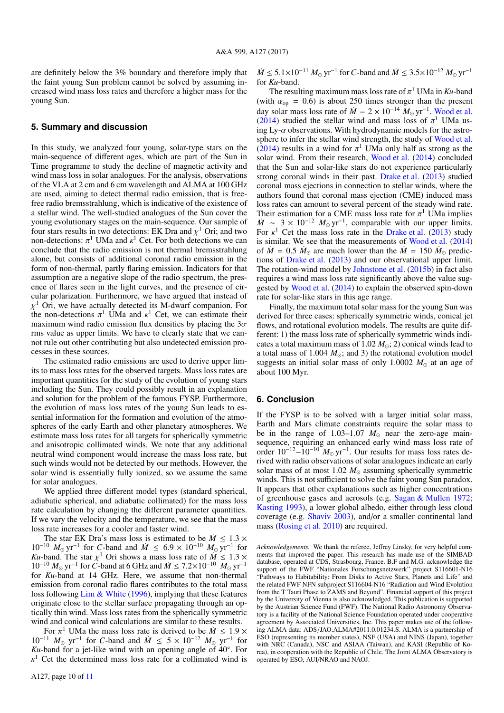are definitely below the 3% boundary and therefore imply that the faint young Sun problem cannot be solved by assuming increased wind mass loss rates and therefore a higher mass for the young Sun.

## **5. Summary and discussion**

In this study, we analyzed four young, solar-type stars on the main-sequence of different ages, which are part of the Sun in Time programme to study the decline of magnetic activity and wind mass loss in solar analogues. For the analysis, observations of the VLA at 2 cm and 6 cm wavelength and ALMA at 100 GHz are used, aiming to detect thermal radio emission, that is freefree radio bremsstrahlung, which is indicative of the existence of a stellar wind. The well-studied analogues of the Sun cover the young evolutionary stages on the main-sequence. Our sample of four stars results in two detections: EK Dra and  $\chi^1$  Ori; and two non-detections:  $\pi^1$  UMa and  $\kappa^1$  Cet. For both detections we can non-detections:  $\pi^1$  UMa and  $\kappa^1$  Cet. For both detections we can conclude that the radio emission is not thermal bremsstrahlung conclude that the radio emission is not thermal bremsstrahlung alone, but consists of additional coronal radio emission in the form of non-thermal, partly flaring emission. Indicators for that assumption are a negative slope of the radio spectrum, the presence of flares seen in the light curves, and the presence of circular polarization. Furthermore, we have argued that instead of the non-detections  $\pi^1$  UMa and  $\kappa^1$  Cet, we can estimate their<br>maximum wind radio emission flux densities by placing the 3 $\sigma$  $\chi^1$  Ori, we have actually detected its M-dwarf companion. For maximum wind radio emission flux densities by placing the  $3\sigma$ rms value as upper limits. We have to clearly state that we cannot rule out other contributing but also undetected emission processes in these sources.

The estimated radio emissions are used to derive upper limits to mass loss rates for the observed targets. Mass loss rates are important quantities for the study of the evolution of young stars including the Sun. They could possibly result in an explanation and solution for the problem of the famous FYSP. Furthermore, the evolution of mass loss rates of the young Sun leads to essential information for the formation and evolution of the atmospheres of the early Earth and other planetary atmospheres. We estimate mass loss rates for all targets for spherically symmetric and anisotropic collimated winds. We note that any additional neutral wind component would increase the mass loss rate, but such winds would not be detected by our methods. However, the solar wind is essentially fully ionized, so we assume the same for solar analogues.

We applied three different model types (standard spherical, adiabatic spherical, and adiabatic collimated) for the mass loss rate calculation by changing the different parameter quantities. If we vary the velocity and the temperature, we see that the mass loss rate increases for a cooler and faster wind.<br>The star EK Dra's mass loss is estimated to be  $\dot{M} \le 1.3 \times$ 

The star EK Dra's mass loss is estimated to be  $\dot{M} \leq 1.3 \times 10^{-10} M_{\odot} \text{ yr}^{-1}$  for *C*-band and  $\dot{M} \leq 6.9 \times 10^{-10} M_{\odot} \text{ yr}^{-1}$  for  $Ku$ -band. The star  $v^1$  Ori shows a mass loss rate of  $\dot{M} < 1.3 \times$ *Ku*-band. The star  $\chi^1$  Ori shows a mass loss rate of  $\dot{M} \le 1.3 \times 10^{-10} M_{\odot} \text{ yr}^{-1}$  for *C*-band at 6 GHz and  $\dot{M} \le 7.2 \times 10^{-10} M_{\odot} \text{ yr}^{-1}$  for *Ku*-band at 14 GHz. Here, we assume that non-thermal for *Ku*-band at 14 GHz. Here, we assume that non-thermal emission from coronal radio flares contributes to the total mass loss following [Lim & White](#page-10-21) [\(1996\)](#page-10-21), implying that these features originate close to the stellar surface propagating through an optically thin wind. Mass loss rates from the spherically symmetric wind and conical wind calculations are similar to these results.

For  $\pi^1$  UMa the mass loss rate is derived to be  $\dot{M} \leq 1.9 \times 10^{-11} M_{\odot}$  yr<sup>-1</sup> for *C*-band and  $\dot{M} \leq 5 \times 10^{-12} M_{\odot}$  yr<sup>-1</sup> for For  $\pi^1$  UMa the mass loss rate is derived to be  $\dot{M} \leq 1.9 \times$  $Ku$ -band for a jet-like wind with an opening angle of  $40^\circ$ . For  $\kappa^1$  Cet the determined mass loss rate for a collimated wind is

A127, page 10 of [11](#page-10-8)

*M* ≤ 5.1×10<sup>-11</sup>  $M_{\odot}$  yr<sup>-1</sup> for *C*-band and  $\dot{M}$  ≤ 3.5×10<sup>-12</sup>  $M_{\odot}$  yr<sup>-1</sup> for *Ku*-band for *Ku*-band.

The resulting maximum mass loss rate of  $\pi$ <br>th  $\alpha_{\text{eq}} = 0.6$ ) is about 250 times stronge The resulting maximum mass loss rate of  $\pi^1$  UMa in *Ku*-band (with  $\alpha_{\text{op}} = 0.6$ ) is about 250 times stronger than the present<br>day solar mass loss rate of  $\dot{M} = 2 \times 10^{-14} M_{\odot} \text{yr}^{-1}$ . Wood et al. day solar mass loss rate of  $\dot{M} = 2 \times 10^{-14} M_{\odot} \text{ yr}^{-1}$ . [Wood et al.](#page-10-60) [\(2014\)](#page-10-60) studied the stellar wind and mass loss of  $\pi^1$  UMa us-<br>ing Ly- $\alpha$  observations. With hydrodynamic models for the astroing Ly- $\alpha$  observations. With hydrodynamic models for the astro-sphere to infer the stellar wind strength, the study of [Wood et al.](#page-10-60) [\(2014\)](#page-10-60) results in a wind for  $\pi^1$  UMa only half as strong as the solar wind. From their research Wood et al. (2014) concluded solar wind. From their research, [Wood et al.](#page-10-60) [\(2014\)](#page-10-60) concluded that the Sun and solar-like stars do not experience particularly strong coronal winds in their past. [Drake et al.](#page-10-61) [\(2013\)](#page-10-61) studied coronal mass ejections in connection to stellar winds, where the authors found that coronal mass ejection (CME) induced mass loss rates can amount to several percent of the steady wind rate. Their estimation for a CME mass loss rate for  $\pi^1$  UMa implies  $\dot{M} \sim 3 \times 10^{-12} M_{\odot} \text{ yr}^{-1}$ , comparable with our upper limits. Their estimation for a CME mass loss rate for  $\pi$ <sup>1</sup> UMa implies For  $\kappa^1$  Cet the mass loss rate in the [Drake et al.](#page-10-61) [\(2013\)](#page-10-61) study is similar. We see that the measurements of Wood et al. (2014) is similar. We see that the measurements of [Wood et al.](#page-10-60) [\(2014\)](#page-10-60) of  $\dot{M} = 0.5$   $\dot{M}_{\odot}$  are much lower than the  $\dot{M} = 150$   $\dot{M}_{\odot}$  predictions of Drake et al. (2013) and our observational upper limit tions of [Drake et al.](#page-10-61) [\(2013\)](#page-10-61) and our observational upper limit. The rotation-wind model by [Johnstone et al.](#page-10-58) [\(2015b\)](#page-10-58) in fact also requires a wind mass loss rate significantly above the value suggested by [Wood et al.](#page-10-60) [\(2014\)](#page-10-60) to explain the observed spin-down rate for solar-like stars in this age range.

Finally, the maximum total solar mass for the young Sun was derived for three cases: spherically symmetric winds, conical jet flows, and rotational evolution models. The results are quite different: 1) the mass loss rate of spherically symmetric winds indicates a total maximum mass of 1.02  $M_{\odot}$ ; 2) conical winds lead to a total mass of 1.004  $M_{\odot}$ ; and 3) the rotational evolution model suggests an initial solar mass of only  $1.0002 M_{\odot}$  at an age of about 100 Myr.

## **6. Conclusion**

If the FYSP is to be solved with a larger initial solar mass, Earth and Mars climate constraints require the solar mass to be in the range of  $1.03-1.07$   $M_{\odot}$  near the zero-age mainsequence, requiring an enhanced early wind mass loss rate of order  $10^{-12} - 10^{-10} M_{\odot}$  yr<sup>-1</sup>. Our results for mass loss rates derived with radio observations of solar analogues indicate an early solar mass of at most 1.02  $M_{\odot}$  assuming spherically symmetric winds. This is not sufficient to solve the faint young Sun paradox. It appears that other explanations such as higher concentrations of greenhouse gases and aerosols (e.g. [Sagan & Mullen](#page-10-2) [1972;](#page-10-2) [Kasting](#page-10-62) [1993\)](#page-10-62), a lower global albedo, either through less cloud coverage (e.g. [Shaviv](#page-10-63) [2003\)](#page-10-63), and/or a smaller continental land mass [\(Rosing et al.](#page-10-64) [2010\)](#page-10-64) are required.

*Acknowledgements.* We thank the referee, Jeffrey Linsky, for very helpful comments that improved the paper. This research has made use of the SIMBAD database, operated at CDS, Strasbourg, France. B.F and M.G. acknowledge the support of the FWF "Nationales Forschungsnetzwerk" project S116601-N16 "Pathways to Habitability: From Disks to Active Stars, Planets and Life" and the related FWF NFN subproject S116604-N16 "Radiation and Wind Evolution from the T Tauri Phase to ZAMS and Beyond". Financial support of this project by the University of Vienna is also acknowledged. This publication is supported by the Austrian Science Fund (FWF). The National Radio Astronomy Observatory is a facility of the National Science Foundation operated under cooperative agreement by Associated Universities, Inc. This paper makes use of the following ALMA data: ADS/JAO.ALMA#2011.0.01234.S. ALMA is a partnership of ESO (representing its member states), NSF (USA) and NINS (Japan), together with NRC (Canada), NSC and ASIAA (Taiwan), and KASI (Republic of Korea), in cooperation with the Republic of Chile. The Joint ALMA Observatory is operated by ESO, AUI/NRAO and NAOJ.